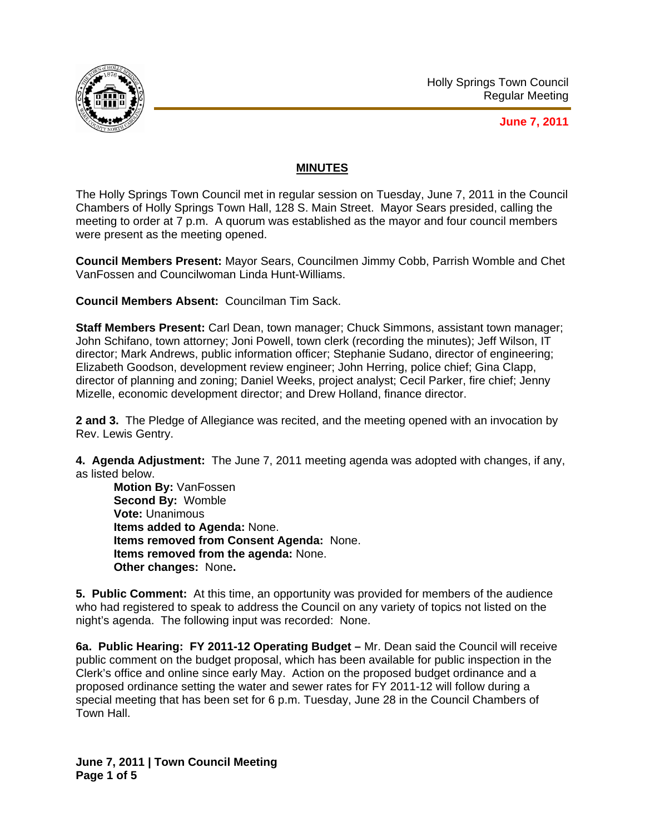

# **MINUTES**

The Holly Springs Town Council met in regular session on Tuesday, June 7, 2011 in the Council Chambers of Holly Springs Town Hall, 128 S. Main Street. Mayor Sears presided, calling the meeting to order at 7 p.m. A quorum was established as the mayor and four council members were present as the meeting opened.

**Council Members Present:** Mayor Sears, Councilmen Jimmy Cobb, Parrish Womble and Chet VanFossen and Councilwoman Linda Hunt-Williams.

**Council Members Absent:** Councilman Tim Sack.

**Staff Members Present:** Carl Dean, town manager; Chuck Simmons, assistant town manager; John Schifano, town attorney; Joni Powell, town clerk (recording the minutes); Jeff Wilson, IT director; Mark Andrews, public information officer; Stephanie Sudano, director of engineering; Elizabeth Goodson, development review engineer; John Herring, police chief; Gina Clapp, director of planning and zoning; Daniel Weeks, project analyst; Cecil Parker, fire chief; Jenny Mizelle, economic development director; and Drew Holland, finance director.

**2 and 3.** The Pledge of Allegiance was recited, and the meeting opened with an invocation by Rev. Lewis Gentry.

**4. Agenda Adjustment:** The June 7, 2011 meeting agenda was adopted with changes, if any, as listed below.

**Motion By:** VanFossen **Second By:** Womble **Vote:** Unanimous **Items added to Agenda:** None. **Items removed from Consent Agenda:** None. **Items removed from the agenda:** None. **Other changes:** None**.** 

**5. Public Comment:** At this time, an opportunity was provided for members of the audience who had registered to speak to address the Council on any variety of topics not listed on the night's agenda. The following input was recorded: None.

**6a. Public Hearing: FY 2011-12 Operating Budget –** Mr. Dean said the Council will receive public comment on the budget proposal, which has been available for public inspection in the Clerk's office and online since early May. Action on the proposed budget ordinance and a proposed ordinance setting the water and sewer rates for FY 2011-12 will follow during a special meeting that has been set for 6 p.m. Tuesday, June 28 in the Council Chambers of Town Hall.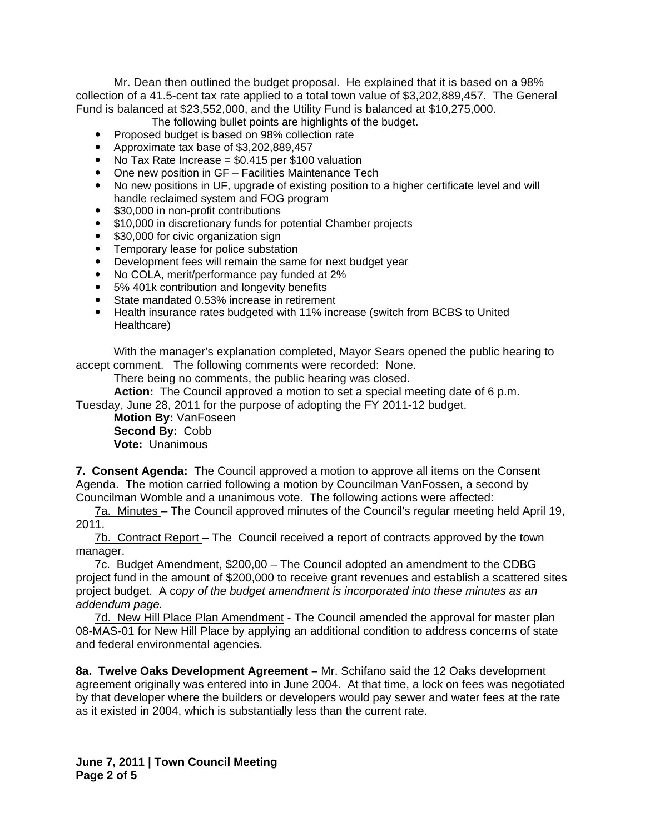Mr. Dean then outlined the budget proposal. He explained that it is based on a 98% collection of a 41.5-cent tax rate applied to a total town value of \$3,202,889,457. The General Fund is balanced at \$23,552,000, and the Utility Fund is balanced at \$10,275,000.

- The following bullet points are highlights of the budget.
- Proposed budget is based on 98% collection rate
- Approximate tax base of \$3,202,889,457
- No Tax Rate Increase  $= $0.415$  per \$100 valuation
- One new position in GF Facilities Maintenance Tech
- No new positions in UF, upgrade of existing position to a higher certificate level and will handle reclaimed system and FOG program
- \$30,000 in non-profit contributions
- \$10,000 in discretionary funds for potential Chamber projects
- \$30,000 for civic organization sign
- Temporary lease for police substation
- Development fees will remain the same for next budget year
- No COLA, merit/performance pay funded at 2%
- 5% 401k contribution and longevity benefits
- State mandated 0.53% increase in retirement
- Health insurance rates budgeted with 11% increase (switch from BCBS to United Healthcare)

With the manager's explanation completed, Mayor Sears opened the public hearing to accept comment. The following comments were recorded: None.

There being no comments, the public hearing was closed.

**Action:** The Council approved a motion to set a special meeting date of 6 p.m.

Tuesday, June 28, 2011 for the purpose of adopting the FY 2011-12 budget.

**Motion By:** VanFoseen **Second By:** Cobb **Vote:** Unanimous

**7. Consent Agenda:** The Council approved a motion to approve all items on the Consent Agenda. The motion carried following a motion by Councilman VanFossen, a second by Councilman Womble and a unanimous vote. The following actions were affected:

7a. Minutes – The Council approved minutes of the Council's regular meeting held April 19, 2011.

7b. Contract Report – The Council received a report of contracts approved by the town manager.

7c. Budget Amendment, \$200,00 – The Council adopted an amendment to the CDBG project fund in the amount of \$200,000 to receive grant revenues and establish a scattered sites project budget. A c*opy of the budget amendment is incorporated into these minutes as an addendum page.*

7d. New Hill Place Plan Amendment - The Council amended the approval for master plan 08-MAS-01 for New Hill Place by applying an additional condition to address concerns of state and federal environmental agencies.

**8a. Twelve Oaks Development Agreement –** Mr. Schifano said the 12 Oaks development agreement originally was entered into in June 2004. At that time, a lock on fees was negotiated by that developer where the builders or developers would pay sewer and water fees at the rate as it existed in 2004, which is substantially less than the current rate.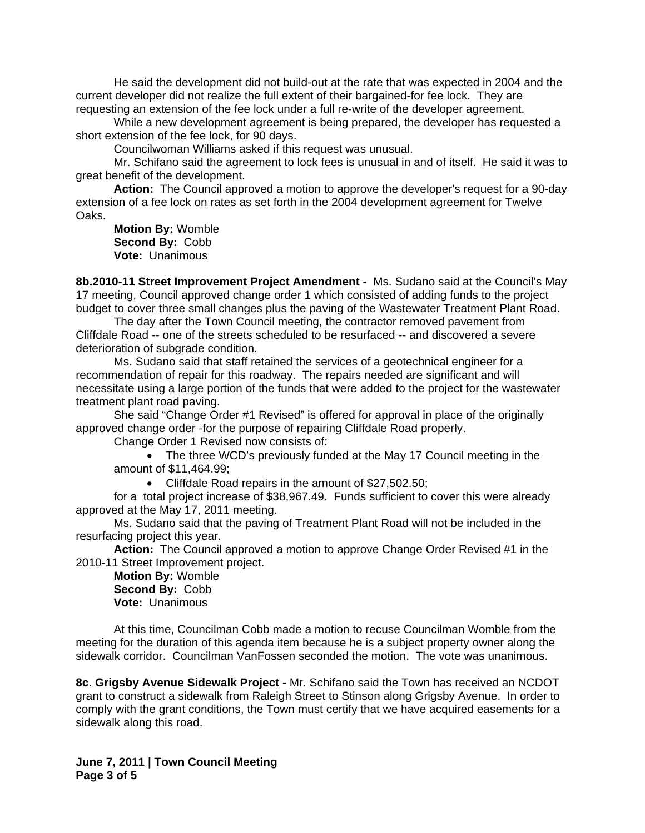He said the development did not build-out at the rate that was expected in 2004 and the current developer did not realize the full extent of their bargained-for fee lock. They are requesting an extension of the fee lock under a full re-write of the developer agreement.

 While a new development agreement is being prepared, the developer has requested a short extension of the fee lock, for 90 days.

Councilwoman Williams asked if this request was unusual.

Mr. Schifano said the agreement to lock fees is unusual in and of itself. He said it was to great benefit of the development.

**Action:** The Council approved a motion to approve the developer's request for a 90-day extension of a fee lock on rates as set forth in the 2004 development agreement for Twelve Oaks.

**Motion By:** Womble **Second By:** Cobb **Vote:** Unanimous

**8b.2010-11 Street Improvement Project Amendment -** Ms. Sudano said at the Council's May 17 meeting, Council approved change order 1 which consisted of adding funds to the project budget to cover three small changes plus the paving of the Wastewater Treatment Plant Road.

 The day after the Town Council meeting, the contractor removed pavement from Cliffdale Road -- one of the streets scheduled to be resurfaced -- and discovered a severe deterioration of subgrade condition.

 Ms. Sudano said that staff retained the services of a geotechnical engineer for a recommendation of repair for this roadway. The repairs needed are significant and will necessitate using a large portion of the funds that were added to the project for the wastewater treatment plant road paving.

 She said "Change Order #1 Revised" is offered for approval in place of the originally approved change order -for the purpose of repairing Cliffdale Road properly.

Change Order 1 Revised now consists of:

• The three WCD's previously funded at the May 17 Council meeting in the amount of \$11,464.99;

• Cliffdale Road repairs in the amount of \$27,502.50;

 for a total project increase of \$38,967.49. Funds sufficient to cover this were already approved at the May 17, 2011 meeting.

Ms. Sudano said that the paving of Treatment Plant Road will not be included in the resurfacing project this year.

**Action:** The Council approved a motion to approve Change Order Revised #1 in the 2010-11 Street Improvement project.

**Motion By:** Womble **Second By:** Cobb **Vote:** Unanimous

At this time, Councilman Cobb made a motion to recuse Councilman Womble from the meeting for the duration of this agenda item because he is a subject property owner along the sidewalk corridor. Councilman VanFossen seconded the motion. The vote was unanimous.

**8c. Grigsby Avenue Sidewalk Project -** Mr. Schifano said the Town has received an NCDOT grant to construct a sidewalk from Raleigh Street to Stinson along Grigsby Avenue. In order to comply with the grant conditions, the Town must certify that we have acquired easements for a sidewalk along this road.

**June 7, 2011 | Town Council Meeting Page 3 of 5**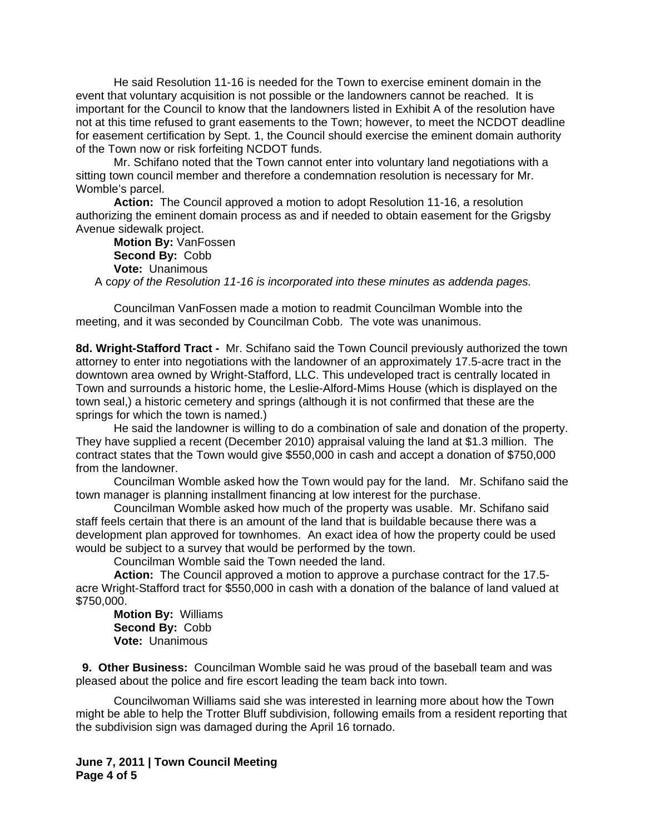He said Resolution 11-16 is needed for the Town to exercise eminent domain in the event that voluntary acquisition is not possible or the landowners cannot be reached. It is important for the Council to know that the landowners listed in Exhibit A of the resolution have not at this time refused to grant easements to the Town; however, to meet the NCDOT deadline for easement certification by Sept. 1, the Council should exercise the eminent domain authority of the Town now or risk forfeiting NCDOT funds.

Mr. Schifano noted that the Town cannot enter into voluntary land negotiations with a sitting town council member and therefore a condemnation resolution is necessary for Mr. Womble's parcel.

**Action:** The Council approved a motion to adopt Resolution 11-16, a resolution authorizing the eminent domain process as and if needed to obtain easement for the Grigsby Avenue sidewalk project.

**Motion By:** VanFossen **Second By:** Cobb **Vote:** Unanimous A c*opy of the Resolution 11-16 is incorporated into these minutes as addenda pages.*

Councilman VanFossen made a motion to readmit Councilman Womble into the meeting, and it was seconded by Councilman Cobb. The vote was unanimous.

**8d. Wright-Stafford Tract -** Mr. Schifano said the Town Council previously authorized the town attorney to enter into negotiations with the landowner of an approximately 17.5-acre tract in the downtown area owned by Wright-Stafford, LLC. This undeveloped tract is centrally located in Town and surrounds a historic home, the Leslie-Alford-Mims House (which is displayed on the town seal,) a historic cemetery and springs (although it is not confirmed that these are the springs for which the town is named.)

 He said the landowner is willing to do a combination of sale and donation of the property. They have supplied a recent (December 2010) appraisal valuing the land at \$1.3 million. The contract states that the Town would give \$550,000 in cash and accept a donation of \$750,000 from the landowner.

 Councilman Womble asked how the Town would pay for the land. Mr. Schifano said the town manager is planning installment financing at low interest for the purchase.

 Councilman Womble asked how much of the property was usable. Mr. Schifano said staff feels certain that there is an amount of the land that is buildable because there was a development plan approved for townhomes. An exact idea of how the property could be used would be subject to a survey that would be performed by the town.

Councilman Womble said the Town needed the land.

**Action:** The Council approved a motion to approve a purchase contract for the 17.5 acre Wright-Stafford tract for \$550,000 in cash with a donation of the balance of land valued at \$750,000.

**Motion By:** Williams **Second By:** Cobb **Vote:** Unanimous

 **9. Other Business:** Councilman Womble said he was proud of the baseball team and was pleased about the police and fire escort leading the team back into town.

 Councilwoman Williams said she was interested in learning more about how the Town might be able to help the Trotter Bluff subdivision, following emails from a resident reporting that the subdivision sign was damaged during the April 16 tornado.

#### **June 7, 2011 | Town Council Meeting Page 4 of 5**